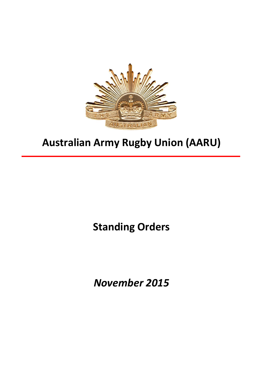

# **Australian Army Rugby Union (AARU)**

**Standing Orders**

*November 2015*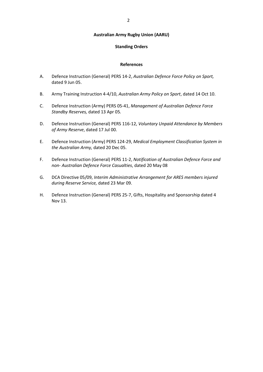#### **Australian Army Rugby Union (AARU)**

#### **Standing Orders**

#### **References**

- A. Defence Instruction (General) PERS 14-2, *Australian Defence Force Policy on Sport,* dated 9 Jun 05.
- B. Army Training Instruction 4-4/10, *Australian Army Policy on Sport*, dated 14 Oct 10.
- C. Defence Instruction (Army) PERS 05-41, *Management of Australian Defence Force Standby Reserves,* dated 13 Apr 05*.*
- D. Defence Instruction (General) PERS 116-12, *Voluntary Unpaid Attendance by Members of Army Reserve*, dated 17 Jul 00.
- E. Defence Instruction (Army) PERS 124-29, *Medical Employment Classification System in the Australian Army,* dated 20 Dec 05.
- F. Defence Instruction (General) PERS 11-2, *Notification of Australian Defence Force and non- Australian Defence Force Casualties*, dated 20 May 08
- G. DCA Directive 05/09, *Interim Administrative Arrangement for ARES members injured during Reserve Service,* dated 23 Mar 09.
- H. Defence Instruction (General) PERS 25-7, Gifts, Hospitality and Sponsorship dated 4 Nov 13.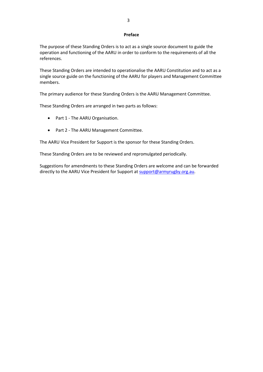#### **Preface**

The purpose of these Standing Orders is to act as a single source document to guide the operation and functioning of the AARU in order to conform to the requirements of all the references.

These Standing Orders are intended to operationalise the AARU Constitution and to act as a single source guide on the functioning of the AARU for players and Management Committee members.

The primary audience for these Standing Orders is the AARU Management Committee.

These Standing Orders are arranged in two parts as follows:

- Part 1 The AARU Organisation.
- Part 2 The AARU Management Committee.

The AARU Vice President for Support is the sponsor for these Standing Orders.

These Standing Orders are to be reviewed and repromulgated periodically.

Suggestions for amendments to these Standing Orders are welcome and can be forwarded directly to the AARU Vice President for Support at [support@armyrugby.org.au.](mailto:support@armyrugby.org.au)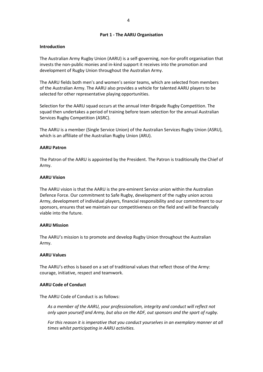### **Part 1 - The AARU Organisation**

### **Introduction**

The Australian Army Rugby Union (AARU) is a self-governing, non-for-profit organisation that invests the non-public monies and in-kind support it receives into the promotion and development of Rugby Union throughout the Australian Army.

The AARU fields both men's and women's senior teams, which are selected from members of the Australian Army. The AARU also provides a vehicle for talented AARU players to be selected for other representative playing opportunities.

Selection for the AARU squad occurs at the annual Inter-Brigade Rugby Competition. The squad then undertakes a period of training before team selection for the annual Australian Services Rugby Competition (ASRC).

The AARU is a member (Single Service Union) of the Australian Services Rugby Union (ASRU), which is an affiliate of the Australian Rugby Union (ARU).

#### **AARU Patron**

The Patron of the AARU is appointed by the President. The Patron is traditionally the Chief of Army.

#### **AARU Vision**

The AARU vision is that the AARU is the pre-eminent Service union within the Australian Defence Force. Our commitment to Safe Rugby, development of the rugby union across Army, development of individual players, financial responsibility and our commitment to our sponsors, ensures that we maintain our competitiveness on the field and will be financially viable into the future.

#### **AARU Mission**

The AARU's mission is to promote and develop Rugby Union throughout the Australian Army.

#### **AARU Values**

The AARU's ethos is based on a set of traditional values that reflect those of the Army: courage, initiative, respect and teamwork.

## **AARU Code of Conduct**

The AARU Code of Conduct is as follows:

*As a member of the AARU, your professionalism, integrity and conduct will reflect not only upon yourself and Army, but also on the ADF, out sponsors and the sport of rugby.* 

*For this reason it is imperative that you conduct yourselves in an exemplary manner at all times whilst participating in AARU activities.*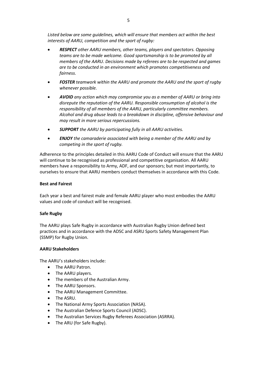*Listed below are some guidelines, which will ensure that members act within the best interests of AARU, competition and the sport of rugby:*

- *RESPECT other AARU members, other teams, players and spectators. Opposing teams are to be made welcome. Good sportsmanship is to be promoted by all members of the AARU. Decisions made by referees are to be respected and games are to be conducted in an environment which promotes competitiveness and fairness.*
- *FOSTER teamwork within the AARU and promote the AARU and the sport of rugby whenever possible.*
- *AVOID any action which may compromise you as a member of AARU or bring into disrepute the reputation of the AARU. Responsible consumption of alcohol is the responsibility of all members of the AARU, particularly committee members. Alcohol and drug abuse leads to a breakdown in discipline, offensive behaviour and may result in more serious repercussions.*
- *SUPPORT the AARU by participating fully in all AARU activities.*
- *ENJOY the camaraderie associated with being a member of the AARU and by competing in the sport of rugby.*

Adherence to the principles detailed in this AARU Code of Conduct will ensure that the AARU will continue to be recognised as professional and competitive organisation. All AARU members have a responsibility to Army, ADF, and our sponsors; but most importantly, to ourselves to ensure that AARU members conduct themselves in accordance with this Code.

### **Best and Fairest**

Each year a best and fairest male and female AARU player who most embodies the AARU values and code of conduct will be recognised.

## **Safe Rugby**

The AARU plays Safe Rugby in accordance with Australian Rugby Union defined best practices and in accordance with the ADSC and ASRU Sports Safety Management Plan (SSMP) for Rugby Union.

## **AARU Stakeholders**

The AARU's stakeholders include:

- The AARU Patron.
- The AARU players.
- The members of the Australian Army.
- The AARU Sponsors.
- The AARU Management Committee.
- The ASRU.
- The National Army Sports Association (NASA).
- The Australian Defence Sports Council (ADSC).
- The Australian Services Rugby Referees Association (ASRRA).
- The ARU (for Safe Rugby).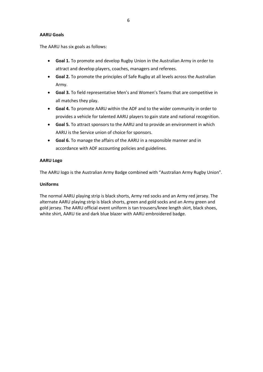## **AARU Goals**

The AARU has six goals as follows:

- **Goal 1.** To promote and develop Rugby Union in the Australian Army in order to attract and develop players, coaches, managers and referees.
- **Goal 2.** To promote the principles of Safe Rugby at all levels across the Australian Army.
- **Goal 3.** To field representative Men's and Women's Teams that are competitive in all matches they play.
- **Goal 4.** To promote AARU within the ADF and to the wider community in order to provides a vehicle for talented AARU players to gain state and national recognition.
- **Goal 5.** To attract sponsors to the AARU and to provide an environment in which AARU is the Service union of choice for sponsors.
- **Goal 6.** To manage the affairs of the AARU in a responsible manner and in accordance with ADF accounting policies and guidelines.

## **AARU Logo**

The AARU logo is the Australian Army Badge combined with "Australian Army Rugby Union".

## **Uniforms**

The normal AARU playing strip is black shorts, Army red socks and an Army red jersey. The alternate AARU playing strip is black shorts, green and gold socks and an Army green and gold jersey. The AARU official event uniform is tan trousers/knee length skirt, black shoes, white shirt, AARU tie and dark blue blazer with AARU embroidered badge.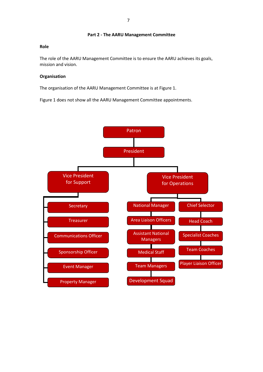#### **Part 2 - The AARU Management Committee**

## **Role**

The role of the AARU Management Committee is to ensure the AARU achieves its goals, mission and vision.

### **Organisation**

The organisation of the AARU Management Committee is at Figure 1.

Figure 1 does not show all the AARU Management Committee appointments.

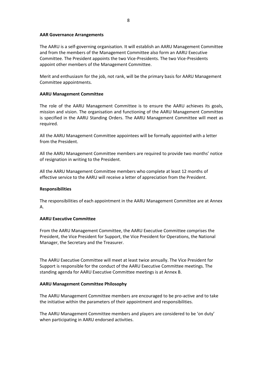#### **AAR Governance Arrangements**

The AARU is a self-governing organisation. It will establish an AARU Management Committee and from the members of the Management Committee also form an AARU Executive Committee. The President appoints the two Vice-Presidents. The two Vice-Presidents appoint other members of the Management Committee.

Merit and enthusiasm for the job, not rank, will be the primary basis for AARU Management Committee appointments.

#### **AARU Management Committee**

The role of the AARU Management Committee is to ensure the AARU achieves its goals, mission and vision. The organisation and functioning of the AARU Management Committee is specified in the AARU Standing Orders. The AARU Management Committee will meet as required.

All the AARU Management Committee appointees will be formally appointed with a letter from the President.

All the AARU Management Committee members are required to provide two months' notice of resignation in writing to the President.

All the AARU Management Committee members who complete at least 12 months of effective service to the AARU will receive a letter of appreciation from the President.

## **Responsibilities**

The responsibilities of each appointment in the AARU Management Committee are at Annex A.

#### **AARU Executive Committee**

From the AARU Management Committee, the AARU Executive Committee comprises the President, the Vice President for Support, the Vice President for Operations, the National Manager, the Secretary and the Treasurer.

The AARU Executive Committee will meet at least twice annually. The Vice President for Support is responsible for the conduct of the AARU Executive Committee meetings. The standing agenda for AARU Executive Committee meetings is at Annex B.

## **AARU Management Committee Philosophy**

The AARU Management Committee members are encouraged to be pro-active and to take the initiative within the parameters of their appointment and responsibilities.

The AARU Management Committee members and players are considered to be 'on duty' when participating in AARU endorsed activities.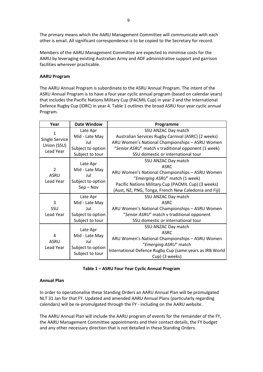The primary means which the AARU Management Committee will communicate with each other is email. All significant correspondence is to be copied to the Secretary for record.

Members of the AARU Management Committee are expected to minimise costs for the AARU by leveraging existing Australian Army and ADF administrative support and garrison facilities wherever practicable.

## **AARU Program**

The AARU Annual Program is subordinate to the ASRU Annual Program. The intent of the ASRU Annual Program is to have a four year cyclic annual program (based on calendar years) that includes the Pacific Nations Military Cup (PACMIL Cup) in year 2 and the International Defence Rugby Cup (IDRC) in year 4. Table 1 outlines the broad ASRU four year cyclic annual Program.

| Year                                                   | <b>Date Window</b>               | Programme                                                |
|--------------------------------------------------------|----------------------------------|----------------------------------------------------------|
| 1<br><b>Single Service</b><br>Union (SSU)<br>Lead Year | Late Apr                         | SSU ANZAC Day match                                      |
|                                                        | Mid - Late May                   | Australian Services Rugby Carnival (ASRC) (2 weeks)      |
|                                                        | Jul                              | ARU Women's National Championships - ASRU Women          |
|                                                        | Subject to option                | "Senior ASRU" match v traditional opponent (1 week)      |
|                                                        | Subject to tour                  | SSU domestic or international tour                       |
| $\overline{2}$<br><b>ASRU</b><br>Lead Year             | Late Apr                         | SSU ANZAC Day match                                      |
|                                                        | Mid - Late May                   | <b>ASRC</b>                                              |
|                                                        | Jul                              | ARU Women's National Championships - ASRU Women          |
|                                                        |                                  | "Emerging ASRU" match (1 week)                           |
|                                                        | Subject to option<br>$Sep - Nov$ | Pacific Nations Military Cup (PACMIL Cup) (3 weeks)      |
|                                                        |                                  | (Aust, NZ, PNG, Tonga, French New Caledonia and Fiji)    |
|                                                        | Late Apr                         | SSU ANZAC Day match                                      |
| 3                                                      | Mid - Late May                   | <b>ASRC</b>                                              |
| SSU                                                    | Jul                              | ARU Women's National Championships - ASRU Women          |
| Lead Year                                              | Subject to option                | "Senior ASRU" match v traditional opponent               |
|                                                        | Subject to tour                  | SSU domestic or international tour                       |
|                                                        | Late Apr                         | SSU ANZAC Day match                                      |
| 4<br><b>ASRU</b><br>Lead Year                          |                                  | <b>ASRC</b>                                              |
|                                                        | Mid - Late May<br>Jul            | ARU Women's National Championships - ASRU Women          |
|                                                        |                                  | "Emerging ASRU" match                                    |
|                                                        | Subject to option                | International Defence Rugby Cup (same years as IRB World |
|                                                        | Subject to tour                  | Cup) (3 weeks)                                           |

|  |  | Table 1 - ASRU Four Year Cyclic Annual Program |
|--|--|------------------------------------------------|
|--|--|------------------------------------------------|

## **Annual Plan**

In order to operationalise these Standing Orders an AARU Annual Plan will be promulgated NLT 31 Jan for that FY. Updated and amended AARU Annual Plans (particularly regarding calendars) will be re-promulgated through the FY - including on the AARU website.

The AARU Annual Plan will include the AARU program of events for the remainder of the FY, the AARU Management Committee appointments and their contact details, the FY budget and any other necessary direction that is not detailed in these Standing Orders.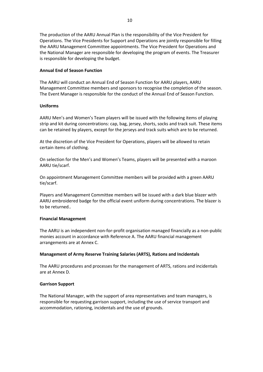The production of the AARU Annual Plan is the responsibility of the Vice President for Operations. The Vice Presidents for Support and Operations are jointly responsible for filling the AARU Management Committee appointments. The Vice President for Operations and the National Manager are responsible for developing the program of events. The Treasurer is responsible for developing the budget.

### **Annual End of Season Function**

The AARU will conduct an Annual End of Season Function for AARU players, AARU Management Committee members and sponsors to recognise the completion of the season. The Event Manager is responsible for the conduct of the Annual End of Season Function.

#### **Uniforms**

AARU Men's and Women's Team players will be issued with the following items of playing strip and kit during concentrations: cap, bag, jersey, shorts, socks and track suit. These items can be retained by players, except for the jerseys and track suits which are to be returned.

At the discretion of the Vice President for Operations, players will be allowed to retain certain items of clothing.

On selection for the Men's and Women's Teams, players will be presented with a maroon AARU tie/scarf.

On appointment Management Committee members will be provided with a green AARU tie/scarf.

Players and Management Committee members will be issued with a dark blue blazer with AARU embroidered badge for the official event uniform during concentrations. The blazer is to be returned..

#### **Financial Management**

The AARU is an independent non-for-profit organisation managed financially as a non-public monies account in accordance with Reference A. The AARU financial management arrangements are at Annex C.

#### **Management of Army Reserve Training Salaries (ARTS), Rations and Incidentals**

The AARU procedures and processes for the management of ARTS, rations and incidentals are at Annex D.

#### **Garrison Support**

The National Manager, with the support of area representatives and team managers, is responsible for requesting garrison support, including the use of service transport and accommodation, rationing, incidentals and the use of grounds.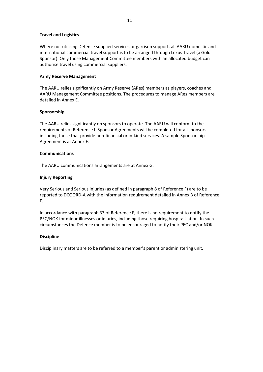## **Travel and Logistics**

Where not utilising Defence supplied services or garrison support, all AARU domestic and international commercial travel support is to be arranged through Lexus Travel (a Gold Sponsor). Only those Management Committee members with an allocated budget can authorise travel using commercial suppliers.

#### **Army Reserve Management**

The AARU relies significantly on Army Reserve (ARes) members as players, coaches and AARU Management Committee positions. The procedures to manage ARes members are detailed in Annex E.

#### **Sponsorship**

The AARU relies significantly on sponsors to operate. The AARU will conform to the requirements of Reference I. Sponsor Agreements will be completed for all sponsors including those that provide non-financial or in-kind services. A sample Sponsorship Agreement is at Annex F.

#### **Communications**

The AARU communications arrangements are at Annex G.

## **Injury Reporting**

Very Serious and Serious injuries (as defined in paragraph 8 of Reference F) are to be reported to DCOORD-A with the information requirement detailed in Annex B of Reference F.

In accordance with paragraph 33 of Reference F, there is no requirement to notify the PEC/NOK for minor illnesses or injuries, including those requiring hospitalisation. In such circumstances the Defence member is to be encouraged to notify their PEC and/or NOK.

## **Discipline**

Disciplinary matters are to be referred to a member's parent or administering unit.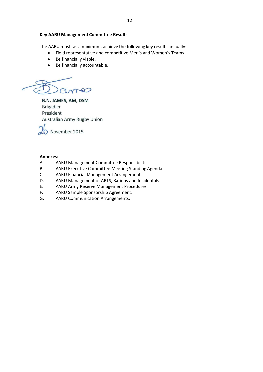#### **Key AARU Management Committee Results**

The AARU must, as a minimum, achieve the following key results annually:

- Field representative and competitive Men's and Women's Teams.
- Be financially viable.
- Be financially accountable.

 $\sim$  $\Omega$ 

**B.N. JAMES, AM, DSM Brigadier** President Australian Army Rugby Union



### **Annexes:**

- A. AARU Management Committee Responsibilities.
- B. AARU Executive Committee Meeting Standing Agenda.
- C. AARU Financial Management Arrangements.
- D. AARU Management of ARTS, Rations and Incidentals.
- E. AARU Army Reserve Management Procedures.
- F. AARU Sample Sponsorship Agreement.
- G. AARU Communication Arrangements.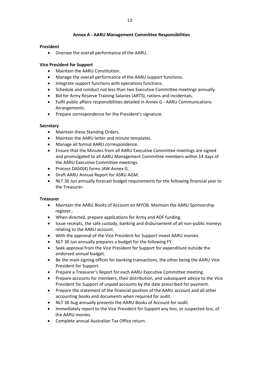#### **Annex A - AARU Management Committee Responsibilities**

#### **President**

Oversee the overall performance of the AARU.

## **Vice President for Support**

- Maintain the AARU Constitution.
- Manage the overall performance of the AARU support functions.
- Integrate support functions with operations functions.
- Schedule and conduct not less than two Executive Committee meetings annually.
- Bid for Army Reserve Training Salaries (ARTS), rations and incidentals.
- Fulfil public affairs responsibilities detailed in Annex G AARU Communications Arrangements.
- Prepare correspondence for the President's signature.

## **Secretary**

- Maintain these Standing Orders.
- Maintain the AARU letter and minute templates.
- Manage all formal AARU correspondence.
- Ensure that the Minutes from all AARU Executive Committee meetings are signed and promulgated to all AARU Management Committee members within 14 days of the AARU Executive Committee meetings.
- Process DA50(4) forms IAW Annex G.
- Draft AARU Annual Report for ASRU AGM.
- NLT 30 Jun annually forecast budget requirements for the following financial year to the Treasurer.

## **Treasurer**

- Maintain the AARU Books of Account on MYOB. Maintain the AARU Sponsorship register..
- When directed, prepare applications for Army and ADF funding.
- Issue receipts, the safe custody, banking and disbursement of all non-public moneys relating to the AARU account.
- With the approval of the Vice President for Support invest AARU monies.
- NLT 30 Jun annually prepares a budget for the following FY.
- Seek approval from the Vice President for Support for expenditure outside the endorsed annual budget.
- Be the main signing officer for banking transactions, the other being the AARU Vice President for Support.
- Prepare a Treasurer's Report for each AARU Executive Committee meeting.
- Prepare accounts for members, their distribution, and subsequent advice to the Vice President for Support of unpaid accounts by the date prescribed for payment.
- Prepare the statement of the financial position of the AARU account and all other accounting books and documents when required for audit.
- NLT 30 Aug annually presents the AARU Books of Account for audit.
- Immediately report to the Vice President for Support any loss, or suspected loss, of the AARU monies.
- Complete annual Australian Tax Office return.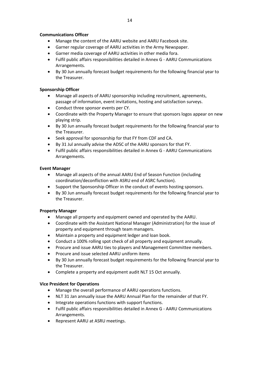## **Communications Officer**

- Manage the content of the AARU website and AARU Facebook site.
- Garner regular coverage of AARU activities in the Army Newspaper.
- Garner media coverage of AARU activities in other media fora.
- Fulfil public affairs responsibilities detailed in Annex G AARU Communications Arrangements.
- By 30 Jun annually forecast budget requirements for the following financial year to the Treasurer.

## **Sponsorship Officer**

- Manage all aspects of AARU sponsorship including recruitment, agreements, passage of information, event invitations, hosting and satisfaction surveys.
- Conduct three sponsor events per CY.
- Coordinate with the Property Manager to ensure that sponsors logos appear on new playing strip.
- By 30 Jun annually forecast budget requirements for the following financial year to the Treasurer.
- Seek approval for sponsorship for that FY from CDF and CA.
- By 31 Jul annually advise the ADSC of the AARU sponsors for that FY.
- Fulfil public affairs responsibilities detailed in Annex G AARU Communications Arrangements.

## **Event Manager**

- Manage all aspects of the annual AARU End of Season Function (including coordination/deconfliction with ASRU end of ASRC function).
- Support the Sponsorship Officer in the conduct of events hosting sponsors.
- By 30 Jun annually forecast budget requirements for the following financial year to the Treasurer.

## **Property Manager**

- Manage all property and equipment owned and operated by the AARU.
- Coordinate with the Assistant National Manager (Administration) for the issue of property and equipment through team managers.
- Maintain a property and equipment ledger and loan book.
- Conduct a 100% rolling spot check of all property and equipment annually.
- Procure and issue AARU ties to players and Management Committee members.
- Procure and issue selected AARU uniform items
- By 30 Jun annually forecast budget requirements for the following financial year to the Treasurer.
- Complete a property and equipment audit NLT 15 Oct annually.

## **Vice President for Operations**

- Manage the overall performance of AARU operations functions.
- NLT 31 Jan annually issue the AARU Annual Plan for the remainder of that FY.
- Integrate operations functions with support functions.
- Fulfil public affairs responsibilities detailed in Annex G AARU Communications Arrangements.
- Represent AARU at ASRU meetings.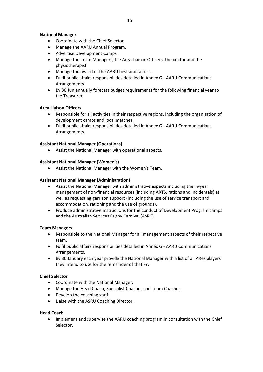## **National Manager**

- Coordinate with the Chief Selector.
- Manage the AARU Annual Program.
- Advertise Development Camps.
- Manage the Team Managers, the Area Liaison Officers, the doctor and the physiotherapist.
- Manage the award of the AARU best and fairest.
- Fulfil public affairs responsibilities detailed in Annex G AARU Communications Arrangements.
- By 30 Jun annually forecast budget requirements for the following financial year to the Treasurer.

## **Area Liaison Officers**

- Responsible for all activities in their respective regions, including the organisation of development camps and local matches.
- Fulfil public affairs responsibilities detailed in Annex G AARU Communications Arrangements.

## **Assistant National Manager (Operations)**

Assist the National Manager with operational aspects.

## **Assistant National Manager (Women's)**

Assist the National Manager with the Women's Team.

## **Assistant National Manager (Administration)**

- Assist the National Manager with administrative aspects including the in-year management of non-financial resources (including ARTS, rations and incidentals) as well as requesting garrison support (including the use of service transport and accommodation, rationing and the use of grounds).
- Produce administrative instructions for the conduct of Development Program camps and the Australian Services Rugby Carnival (ASRC).

## **Team Managers**

- Responsible to the National Manager for all management aspects of their respective team.
- Fulfil public affairs responsibilities detailed in Annex G AARU Communications Arrangements.
- By 30 January each year provide the National Manager with a list of all ARes players they intend to use for the remainder of that FY.

## **Chief Selector**

- Coordinate with the National Manager.
- Manage the Head Coach, Specialist Coaches and Team Coaches.
- Develop the coaching staff.
- Liaise with the ASRU Coaching Director.

## **Head Coach**

• Implement and supervise the AARU coaching program in consultation with the Chief Selector.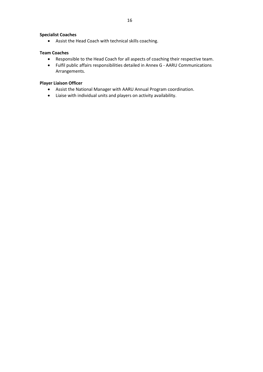## **Specialist Coaches**

Assist the Head Coach with technical skills coaching.

## **Team Coaches**

- Responsible to the Head Coach for all aspects of coaching their respective team.
- Fulfil public affairs responsibilities detailed in Annex G AARU Communications Arrangements.

## **Player Liaison Officer**

- Assist the National Manager with AARU Annual Program coordination.
- Liaise with individual units and players on activity availability.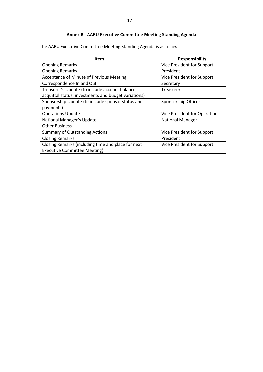## **Annex B - AARU Executive Committee Meeting Standing Agenda**

The AARU Executive Committee Meeting Standing Agenda is as follows:

| Item                                                 | <b>Responsibility</b>                |
|------------------------------------------------------|--------------------------------------|
| <b>Opening Remarks</b>                               | Vice President for Support           |
| <b>Opening Remarks</b>                               | President                            |
| Acceptance of Minute of Previous Meeting             | Vice President for Support           |
| Correspondence In and Out                            | Secretary                            |
| Treasurer's Update (to include account balances,     | Treasurer                            |
| acquittal status, investments and budget variations) |                                      |
| Sponsorship Update (to include sponsor status and    | Sponsorship Officer                  |
| payments)                                            |                                      |
| <b>Operations Update</b>                             | <b>Vice President for Operations</b> |
| National Manager's Update                            | <b>National Manager</b>              |
| <b>Other Business</b>                                |                                      |
| <b>Summary of Outstanding Actions</b>                | Vice President for Support           |
| <b>Closing Remarks</b>                               | President                            |
| Closing Remarks (including time and place for next   | Vice President for Support           |
| <b>Executive Committee Meeting)</b>                  |                                      |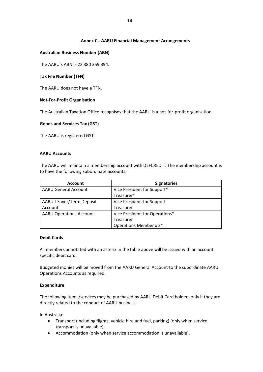## **Annex C - AARU Financial Management Arrangements**

#### **Australian Business Number (ABN)**

The AARU's ABN is 22 380 359 394.

#### **Tax File Number (TFN)**

The AARU does not have a TFN.

#### **Not-For-Profit Organisation**

The Australian Taxation Office recognises that the AARU is a not-for-profit organisation.

#### **Goods and Services Tax (GST)**

The AARU is registered GST.

#### **AARU Accounts**

The AARU will maintain a membership account with DEFCREDIT. The membership account is to have the following subordinate accounts:

| <b>Account</b>                 | <b>Signatories</b>             |
|--------------------------------|--------------------------------|
| <b>AARU General Account</b>    | Vice President for Support*    |
|                                | Treasurer*                     |
| AARU I-Saver/Term Deposit      | Vice President for Support     |
| Account                        | <b>Treasurer</b>               |
| <b>AARU Operations Account</b> | Vice President for Operations* |
|                                | Treasurer                      |
|                                | Operations Member x 2*         |

#### **Debit Cards**

All members annotated with an asterix in the table above will be issued with an account specific debit card.

Budgeted monies will be moved from the AARU General Account to the subordinate AARU Operations Accounts as required.

## **Expenditure**

The following items/services may be purchased by AARU Debit Card holders only if they are directly related to the conduct of AARU business:

In Australia:

- Transport (including flights, vehicle hire and fuel, parking) (only when service transport is unavailable).
- Accommodation (only when service accommodation is unavailable).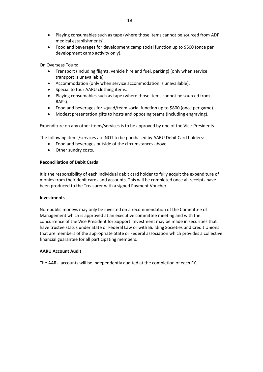- Playing consumables such as tape (where those items cannot be sourced from ADF medical establishments).
- Food and beverages for development camp social function up to \$500 (once per development camp activity only).

On Overseas Tours:

- Transport (including flights, vehicle hire and fuel, parking) (only when service transport is unavailable).
- Accommodation (only when service accommodation is unavailable).
- Special to tour AARU clothing items.
- Playing consumables such as tape (where those items cannot be sourced from RAPs).
- Food and beverages for squad/team social function up to \$800 (once per game).
- Modest presentation gifts to hosts and opposing teams (including engraving).

Expenditure on any other items/services is to be approved by one of the Vice-Presidents.

The following items/services are NOT to be purchased by AARU Debit Card holders:

- Food and beverages outside of the circumstances above.
- Other sundry costs.

## **Reconciliation of Debit Cards**

It is the responsibility of each individual debit card holder to fully acquit the expenditure of monies from their debit cards and accounts. This will be completed once all receipts have been produced to the Treasurer with a signed Payment Voucher.

## **Investments**

Non-public moneys may only be invested on a recommendation of the Committee of Management which is approved at an executive committee meeting and with the concurrence of the Vice President for Support. Investment may be made in securities that have trustee status under State or Federal Law or with Building Societies and Credit Unions that are members of the appropriate State or Federal association which provides a collective financial guarantee for all participating members.

## **AARU Account Audit**

The AARU accounts will be independently audited at the completion of each FY.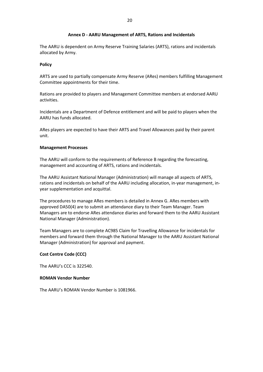### **Annex D - AARU Management of ARTS, Rations and Incidentals**

The AARU is dependent on Army Reserve Training Salaries (ARTS), rations and incidentals allocated by Army.

#### **Policy**

ARTS are used to partially compensate Army Reserve (ARes) members fulfilling Management Committee appointments for their time.

Rations are provided to players and Management Committee members at endorsed AARU activities.

Incidentals are a Department of Defence entitlement and will be paid to players when the AARU has funds allocated.

ARes players are expected to have their ARTS and Travel Allowances paid by their parent unit.

#### **Management Processes**

The AARU will conform to the requirements of Reference B regarding the forecasting, management and accounting of ARTS, rations and incidentals.

The AARU Assistant National Manager (Administration) will manage all aspects of ARTS, rations and incidentals on behalf of the AARU including allocation, in-year management, inyear supplementation and acquittal.

The procedures to manage ARes members is detailed in Annex G. ARes members with approved DA50(4) are to submit an attendance diary to their Team Manager. Team Managers are to endorse ARes attendance diaries and forward them to the AARU Assistant National Manager (Administration).

Team Managers are to complete AC985 Claim for Travelling Allowance for incidentals for members and forward them through the National Manager to the AARU Assistant National Manager (Administration) for approval and payment.

## **Cost Centre Code (CCC)**

The AARU's CCC is 322540.

### **ROMAN Vendor Number**

The AARU's ROMAN Vendor Number is 1081966.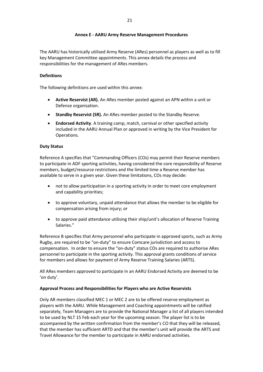## **Annex E - AARU Army Reserve Management Procedures**

The AARU has historically utilised Army Reserve (ARes) personnel as players as well as to fill key Management Committee appointments. This annex details the process and responsibilities for the management of ARes members.

## **Definitions**

The following definitions are used within this annex:

- **Active Reservist (AR).** An ARes member posted against an APN within a unit or Defence organisation.
- **Standby Reservist (SR).** An ARes member posted to the Standby Reserve.
- **Endorsed Activity**. A training camp, match, carnival or other specified activity included in the AARU Annual Plan or approved in writing by the Vice President for Operations.

## **Duty Status**

Reference A specifies that "Commanding Officers (COs) may permit their Reserve members to participate in ADF sporting activities, having considered the core responsibility of Reserve members, budget/resource restrictions and the limited time a Reserve member has available to serve in a given year. Given these limitations, COs may decide:

- not to allow participation in a sporting activity in order to meet core employment and capability priorities;
- to approve voluntary, unpaid attendance that allows the member to be eligible for compensation arising from injury; or
- to approve paid attendance utilising their ship/unit's allocation of Reserve Training Salaries."

Reference B specifies that Army personnel who participate in approved sports, such as Army Rugby, are required to be "on-duty" to ensure Comcare jurisdiction and access to compensation. In order to ensure the "on-duty" status COs are required to authorise ARes personnel to participate in the sporting activity. This approval grants conditions of service for members and allows for payment of Army Reserve Training Salaries (ARTS).

All ARes members approved to participate in an AARU Endorsed Activity are deemed to be 'on duty'.

## **Approval Process and Responsibilities for Players who are Active Reservists**

Only AR members classified MEC 1 or MEC 2 are to be offered reserve employment as players with the AARU. While Management and Coaching appointments will be ratified separately, Team Managers are to provide the National Manager a list of all players intended to be used by NLT 15 Feb each year for the upcoming season. The player list is to be accompanied by the written confirmation from the member's CO that they will be released, that the member has sufficient ARTD and that the member's unit will provide the ARTS and Travel Allowance for the member to participate in AARU endorsed activities.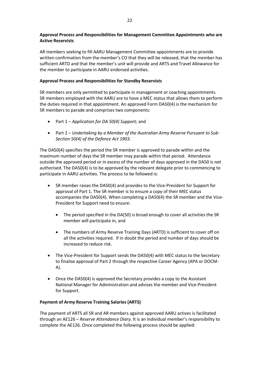## **Approval Process and Responsibilities for Management Committee Appointments who are Active Reservists**

AR members seeking to fill AARU Management Committee appointments are to provide written confirmation from the member's CO that they will be released, that the member has sufficient ARTD and that the member's unit will provide and ARTS and Travel Allowance for the member to participate in AARU endorsed activities.

## **Approval Process and Responsibilities for Standby Reservists**

SR members are only permitted to participate in management or coaching appointments. SR members employed with the AARU are to have a MEC status that allows them to perform the duties required in that appointment. An approved Form DA50(4) is the mechanism for SR members to parade and comprises two components:

- Part 1 *Application for DA 50(4) Support;* and
- Part 2 *Undertaking by a Member of the Australian Army Reserve Pursuant to Sub-Section 50(4) of the Defence Act 1903.*

The DA50(4) specifies the period the SR member is approved to parade within and the maximum number of days the SR member may parade within that period. Attendance outside the approved period or in excess of the number of days approved in the DA50 is not authorised. The DA50(4) is to be approved by the relevant delegate prior to commencing to participate in AARU activities. The process to be followed is:

- SR member raises the DA50(4) and provides to the Vice-President for Support for approval of Part 1. The SR member is to ensure a copy of their MEC status accompanies the DA50(4). When completing a DA50(4) the SR member and the Vice-President for Support need to ensure:
	- The period specified in the DA(50) is broad enough to cover all activities the SR member will participate in, and
	- The numbers of Army Reserve Training Days (ARTD) is sufficient to cover off on all the activities required. If in doubt the period and number of days should be increased to reduce risk.
- The Vice-President for Support sends the DA50(4) with MEC status to the Secretary to finalise approval of Part 2 through the respective Career Agency (APA or DOCM-A).
- Once the DA50(4) is approved the Secretary provides a copy to the Assistant National Manager for Administration and advises the member and Vice-President for Support.

## **Payment of Army Reserve Training Salaries (ARTS)**

The payment of ARTS all SR and AR members against approved AARU actives is facilitated through an AE126 – *Reserve Attendance Diary*. It is an individual member's responsibility to complete the AE126. Once completed the following process should be applied: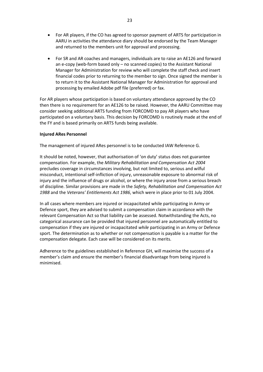- For AR players, if the CO has agreed to sponsor payment of ARTS for participation in AARU in activities the attendance diary should be endorsed by the Team Manager and returned to the members unit for approval and processing.
- For SR and AR coaches and managers, individuals are to raise an AE126 and forward an e-copy (web-form based only – no scanned copies) to the Assistant National Manager for Administration for review who will complete the staff check and insert financial codes prior to returning to the member to sign. Once signed the member is to return it to the Assistant National Manager for Administration for approval and processing by emailed Adobe pdf file (preferred) or fax.

For AR players whose participation is based on voluntary attendance approved by the CO then there is no requirement for an AE126 to be raised. However, the AARU Committee may consider seeking additional ARTS funding from FORCOMD to pay AR players who have participated on a voluntary basis. This decision by FORCOMD is routinely made at the end of the FY and is based primarily on ARTS funds being available.

#### **Injured ARes Personnel**

The management of injured ARes personnel is to be conducted IAW Reference G.

It should be noted, however, that authorisation of 'on duty' status does not guarantee compensation. For example, the *Military Rehabilitation and Compensation Act 2004*  precludes coverage in circumstances involving, but not limited to, serious and wilful misconduct, intentional self-infliction of injury, unreasonable exposure to abnormal risk of injury and the influence of drugs or alcohol, or where the injury arose from a serious breach of discipline. Similar provisions are made in the *Safety, Rehabilitation and Compensation Act 1988* and the *Veterans' Entitlements Act 1986*, which were in place prior to 01 July 2004.

In all cases where members are injured or incapacitated while participating in Army or Defence sport, they are advised to submit a compensation claim in accordance with the relevant Compensation Act so that liability can be assessed. Notwithstanding the Acts, no categorical assurance can be provided that injured personnel are automatically entitled to compensation if they are injured or incapacitated *while* participating in an Army or Defence sport. The determination as to whether or not compensation is payable is a matter for the compensation delegate. Each case will be considered on its merits.

Adherence to the guidelines established in Reference GH, will maximise the success of a member's claim and ensure the member's financial disadvantage from being injured is minimised.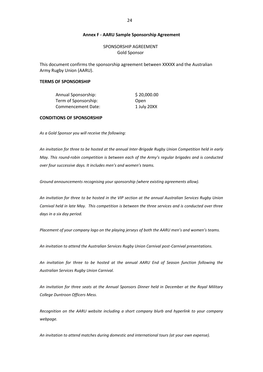#### **Annex F - AARU Sample Sponsorship Agreement**

SPONSORSHIP AGREEMENT Gold Sponsor

This document confirms the sponsorship agreement between XXXXX and the Australian Army Rugby Union (AARU).

#### **TERMS OF SPONSORSHIP**

Annual Sponsorship:  $\frac{1}{2}$  \$20,000.00 Term of Sponsorship: Open Commencement Date: 1 July 20XX

#### **CONDITIONS OF SPONSORSHIP**

*As a Gold Sponsor you will receive the following:*

*An invitation for three to be hosted at the annual Inter-Brigade Rugby Union Competition held in early May. This round-robin competition is between each of the Army's regular brigades and is conducted over four successive days. It includes men's and women's teams.*

*Ground announcements recognising your sponsorship (where existing agreements allow).*

*An invitation for three to be hosted in the VIP section at the annual Australian Services Rugby Union Carnival held in late May. This competition is between the three services and is conducted over three days in a six day period.*

*Placement of your company logo on the playing jerseys of both the AARU men's and women's teams.*

*An invitation to attend the Australian Services Rugby Union Carnival post-Carnival presentations.*

*An invitation for three to be hosted at the annual AARU End of Season function following the Australian Services Rugby Union Carnival.*

*An invitation for three seats at the Annual Sponsors Dinner held in December at the Royal Military College Duntroon Officers Mess.*

*Recognition on the AARU website including a short company blurb and hyperlink to your company webpage.*

*An invitation to attend matches during domestic and international tours (at your own expense).*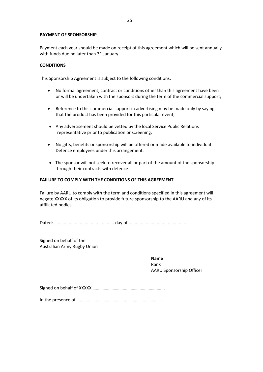#### **PAYMENT OF SPONSORSHIP**

Payment each year should be made on receipt of this agreement which will be sent annually with funds due no later than 31 January.

### **CONDITIONS**

This Sponsorship Agreement is subject to the following conditions:

- No formal agreement, contract or conditions other than this agreement have been or will be undertaken with the sponsors during the term of the commercial support;
- Reference to this commercial support in advertising may be made only by saying that the product has been provided for this particular event;
- Any advertisement should be vetted by the local Service Public Relations representative prior to publication or screening.
- No gifts, benefits or sponsorship will be offered or made available to individual Defence employees under this arrangement.
- The sponsor will not seek to recover all or part of the amount of the sponsorship through their contracts with defence.

#### **FAILURE TO COMPLY WITH THE CONDITIONS OF THIS AGREEMENT**

Failure by AARU to comply with the term and conditions specified in this agreement will negate XXXXX of its obligation to provide future sponsorship to the AARU and any of its affiliated bodies.

Dated: ................................................. day of ................................................

Signed on behalf of the Australian Army Rugby Union

> **Name** Rank AARU Sponsorship Officer

Signed on behalf of XXXXX ………………………….………….…………..…...

In the presence of ……...………………………………………………………….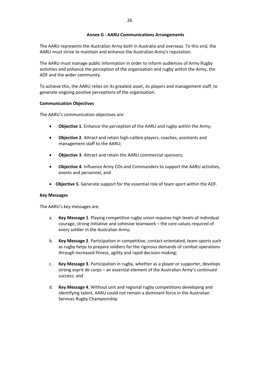### **Annex G - AARU Communications Arrangements**

The AARU represents the Australian Army both in Australia and overseas. To this end, the AARU must strive to maintain and enhance the Australian Army's reputation.

The AARU must manage public information in order to inform audiences of Army Rugby activities and enhance the perception of the organisation and rugby within the Army, the ADF and the wider community.

To achieve this, the AARU relies on its greatest asset, its players and management staff, to generate ongoing positive perceptions of the organisation.

#### **Communication Objectives**

The AARU's communication objectives are:

- **Objective 1**. Enhance the perception of the AARU and rugby within the Army;
- **Objective 2**. Attract and retain high-calibre players, coaches, assistants and management staff to the AARU;
- **Objective 3**. Attract and retain the AARU commercial sponsors;
- **Objective 4**. Influence Army COs and Commanders to support the AARU activities, events and personnel, and
- **Objective 5**. Generate support for the essential role of team sport within the ADF.

#### **Key Messages**

The AARU's key messages are:

- a. **Key Message 1**. Playing competitive rugby union requires high levels of individual courage, strong initiative and cohesive teamwork – the core values required of every soldier in the Australian Army;
- b. **Key Message 2**. Participation in competitive, contact-orientated, team-sports such as rugby helps to prepare soldiers for the rigorous demands of combat operations through increased fitness, agility and rapid decision-making;
- c. **Key Message 3**. Participation in rugby, whether as a player or supporter, develops strong esprit de corps – an essential element of the Australian Army's continued success; and
- d. **Key Message 4**. Without unit and regional rugby competitions developing and identifying talent, AARU could not remain a dominant force in the Australian Services Rugby Championship.